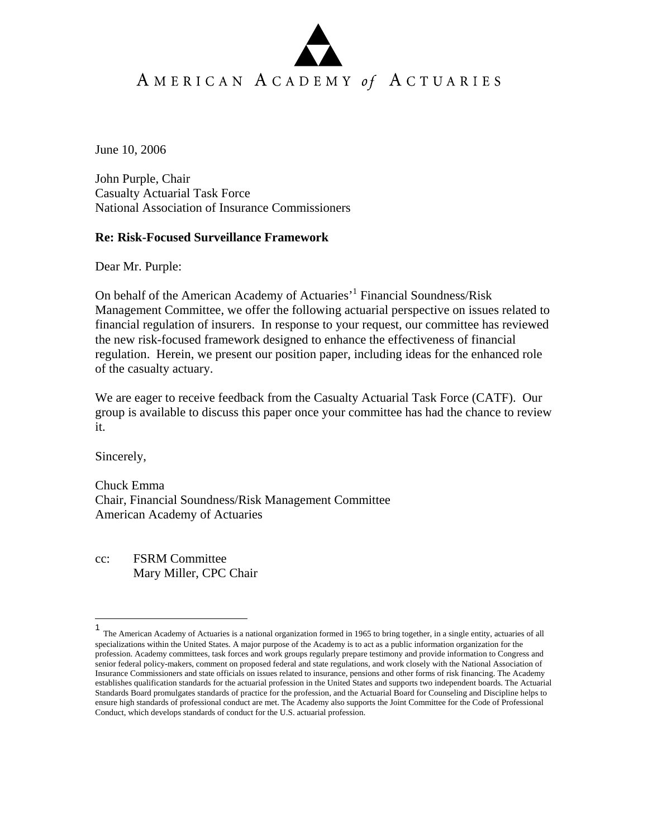# AMERICAN ACADEMY of ACTUARIES

June 10, 2006

John Purple, Chair Casualty Actuarial Task Force National Association of Insurance Commissioners

#### **Re: Risk-Focused Surveillance Framework**

Dear Mr. Purple:

On behalf of the American Academy of Actuaries<sup>, 1</sup> Financial Soundness/Risk Management Committee, we offer the following actuarial perspective on issues related to financial regulation of insurers. In response to your request, our committee has reviewed the new risk-focused framework designed to enhance the effectiveness of financial regulation. Herein, we present our position paper, including ideas for the enhanced role of the casualty actuary.

We are eager to receive feedback from the Casualty Actuarial Task Force (CATF). Our group is available to discuss this paper once your committee has had the chance to review it.

Sincerely,

Chuck Emma Chair, Financial Soundness/Risk Management Committee American Academy of Actuaries

cc: FSRM Committee Mary Miller, CPC Chair

 1 The American Academy of Actuaries is a national organization formed in 1965 to bring together, in a single entity, actuaries of all specializations within the United States. A major purpose of the Academy is to act as a public information organization for the profession. Academy committees, task forces and work groups regularly prepare testimony and provide information to Congress and senior federal policy-makers, comment on proposed federal and state regulations, and work closely with the National Association of Insurance Commissioners and state officials on issues related to insurance, pensions and other forms of risk financing. The Academy establishes qualification standards for the actuarial profession in the United States and supports two independent boards. The Actuarial Standards Board promulgates standards of practice for the profession, and the Actuarial Board for Counseling and Discipline helps to ensure high standards of professional conduct are met. The Academy also supports the Joint Committee for the Code of Professional Conduct, which develops standards of conduct for the U.S. actuarial profession.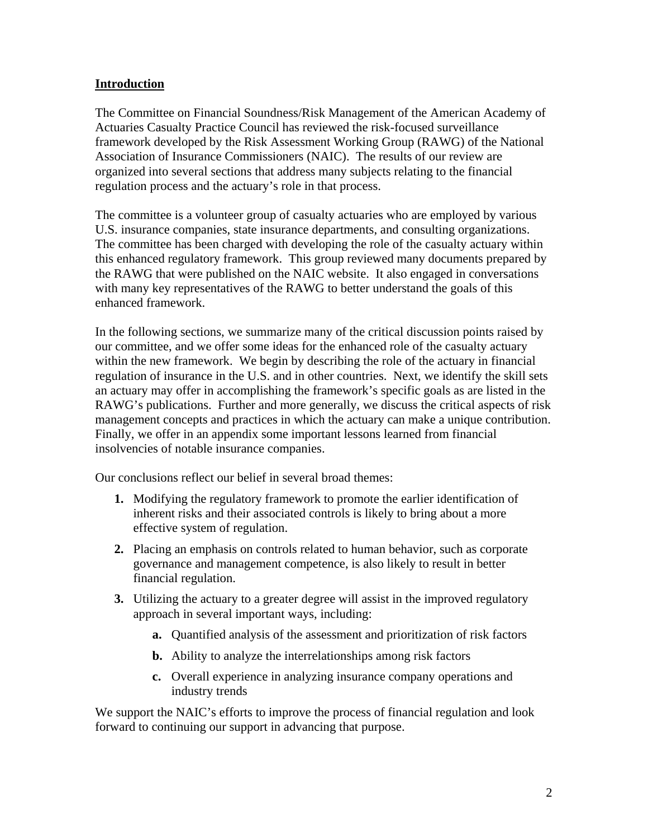## **Introduction**

The Committee on Financial Soundness/Risk Management of the American Academy of Actuaries Casualty Practice Council has reviewed the risk-focused surveillance framework developed by the Risk Assessment Working Group (RAWG) of the National Association of Insurance Commissioners (NAIC). The results of our review are organized into several sections that address many subjects relating to the financial regulation process and the actuary's role in that process.

The committee is a volunteer group of casualty actuaries who are employed by various U.S. insurance companies, state insurance departments, and consulting organizations. The committee has been charged with developing the role of the casualty actuary within this enhanced regulatory framework. This group reviewed many documents prepared by the RAWG that were published on the NAIC website. It also engaged in conversations with many key representatives of the RAWG to better understand the goals of this enhanced framework.

In the following sections, we summarize many of the critical discussion points raised by our committee, and we offer some ideas for the enhanced role of the casualty actuary within the new framework. We begin by describing the role of the actuary in financial regulation of insurance in the U.S. and in other countries. Next, we identify the skill sets an actuary may offer in accomplishing the framework's specific goals as are listed in the RAWG's publications. Further and more generally, we discuss the critical aspects of risk management concepts and practices in which the actuary can make a unique contribution. Finally, we offer in an appendix some important lessons learned from financial insolvencies of notable insurance companies.

Our conclusions reflect our belief in several broad themes:

- **1.** Modifying the regulatory framework to promote the earlier identification of inherent risks and their associated controls is likely to bring about a more effective system of regulation.
- **2.** Placing an emphasis on controls related to human behavior, such as corporate governance and management competence, is also likely to result in better financial regulation.
- **3.** Utilizing the actuary to a greater degree will assist in the improved regulatory approach in several important ways, including:
	- **a.** Quantified analysis of the assessment and prioritization of risk factors
	- **b.** Ability to analyze the interrelationships among risk factors
	- **c.** Overall experience in analyzing insurance company operations and industry trends

We support the NAIC's efforts to improve the process of financial regulation and look forward to continuing our support in advancing that purpose.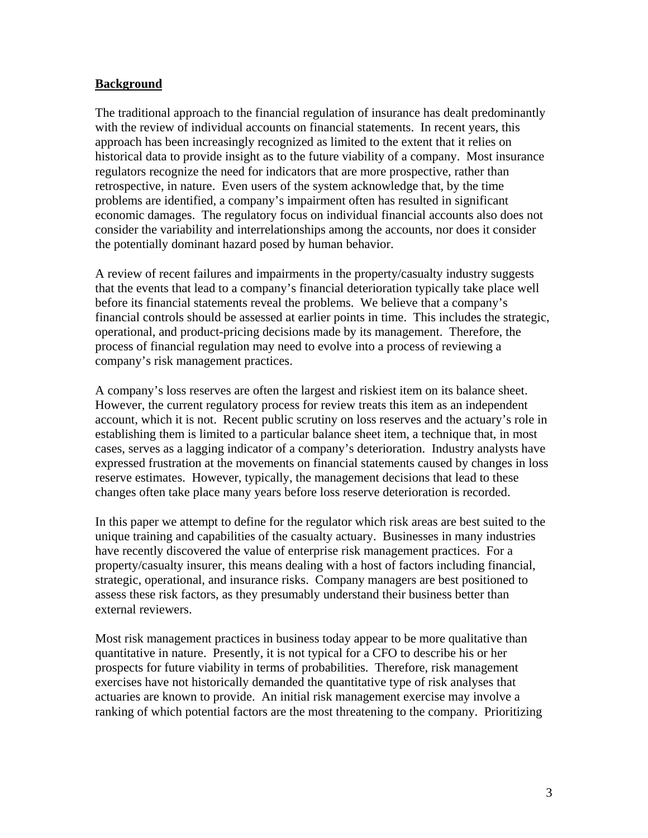#### **Background**

The traditional approach to the financial regulation of insurance has dealt predominantly with the review of individual accounts on financial statements. In recent years, this approach has been increasingly recognized as limited to the extent that it relies on historical data to provide insight as to the future viability of a company. Most insurance regulators recognize the need for indicators that are more prospective, rather than retrospective, in nature. Even users of the system acknowledge that, by the time problems are identified, a company's impairment often has resulted in significant economic damages. The regulatory focus on individual financial accounts also does not consider the variability and interrelationships among the accounts, nor does it consider the potentially dominant hazard posed by human behavior.

A review of recent failures and impairments in the property/casualty industry suggests that the events that lead to a company's financial deterioration typically take place well before its financial statements reveal the problems. We believe that a company's financial controls should be assessed at earlier points in time. This includes the strategic, operational, and product-pricing decisions made by its management. Therefore, the process of financial regulation may need to evolve into a process of reviewing a company's risk management practices.

A company's loss reserves are often the largest and riskiest item on its balance sheet. However, the current regulatory process for review treats this item as an independent account, which it is not. Recent public scrutiny on loss reserves and the actuary's role in establishing them is limited to a particular balance sheet item, a technique that, in most cases, serves as a lagging indicator of a company's deterioration. Industry analysts have expressed frustration at the movements on financial statements caused by changes in loss reserve estimates. However, typically, the management decisions that lead to these changes often take place many years before loss reserve deterioration is recorded.

In this paper we attempt to define for the regulator which risk areas are best suited to the unique training and capabilities of the casualty actuary. Businesses in many industries have recently discovered the value of enterprise risk management practices. For a property/casualty insurer, this means dealing with a host of factors including financial, strategic, operational, and insurance risks. Company managers are best positioned to assess these risk factors, as they presumably understand their business better than external reviewers.

Most risk management practices in business today appear to be more qualitative than quantitative in nature. Presently, it is not typical for a CFO to describe his or her prospects for future viability in terms of probabilities. Therefore, risk management exercises have not historically demanded the quantitative type of risk analyses that actuaries are known to provide. An initial risk management exercise may involve a ranking of which potential factors are the most threatening to the company. Prioritizing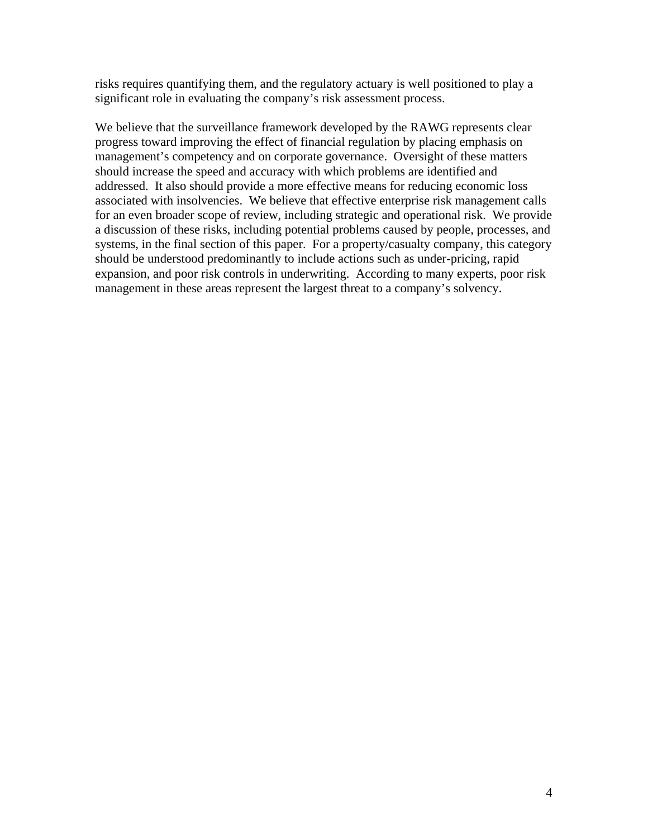risks requires quantifying them, and the regulatory actuary is well positioned to play a significant role in evaluating the company's risk assessment process.

We believe that the surveillance framework developed by the RAWG represents clear progress toward improving the effect of financial regulation by placing emphasis on management's competency and on corporate governance. Oversight of these matters should increase the speed and accuracy with which problems are identified and addressed. It also should provide a more effective means for reducing economic loss associated with insolvencies. We believe that effective enterprise risk management calls for an even broader scope of review, including strategic and operational risk. We provide a discussion of these risks, including potential problems caused by people, processes, and systems, in the final section of this paper. For a property/casualty company, this category should be understood predominantly to include actions such as under-pricing, rapid expansion, and poor risk controls in underwriting. According to many experts, poor risk management in these areas represent the largest threat to a company's solvency.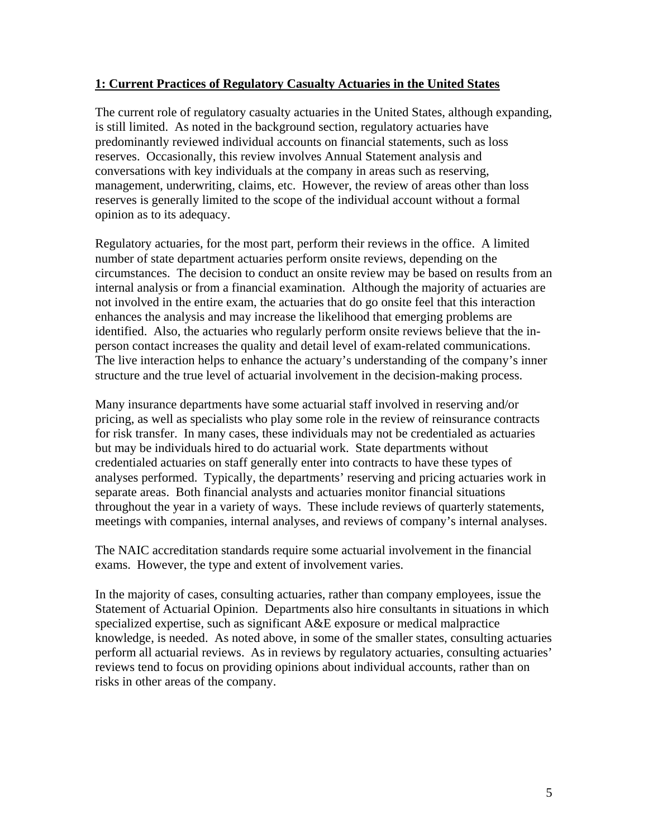## **1: Current Practices of Regulatory Casualty Actuaries in the United States**

The current role of regulatory casualty actuaries in the United States, although expanding, is still limited. As noted in the background section, regulatory actuaries have predominantly reviewed individual accounts on financial statements, such as loss reserves. Occasionally, this review involves Annual Statement analysis and conversations with key individuals at the company in areas such as reserving, management, underwriting, claims, etc. However, the review of areas other than loss reserves is generally limited to the scope of the individual account without a formal opinion as to its adequacy.

Regulatory actuaries, for the most part, perform their reviews in the office. A limited number of state department actuaries perform onsite reviews, depending on the circumstances. The decision to conduct an onsite review may be based on results from an internal analysis or from a financial examination. Although the majority of actuaries are not involved in the entire exam, the actuaries that do go onsite feel that this interaction enhances the analysis and may increase the likelihood that emerging problems are identified. Also, the actuaries who regularly perform onsite reviews believe that the inperson contact increases the quality and detail level of exam-related communications. The live interaction helps to enhance the actuary's understanding of the company's inner structure and the true level of actuarial involvement in the decision-making process.

Many insurance departments have some actuarial staff involved in reserving and/or pricing, as well as specialists who play some role in the review of reinsurance contracts for risk transfer. In many cases, these individuals may not be credentialed as actuaries but may be individuals hired to do actuarial work. State departments without credentialed actuaries on staff generally enter into contracts to have these types of analyses performed. Typically, the departments' reserving and pricing actuaries work in separate areas. Both financial analysts and actuaries monitor financial situations throughout the year in a variety of ways. These include reviews of quarterly statements, meetings with companies, internal analyses, and reviews of company's internal analyses.

The NAIC accreditation standards require some actuarial involvement in the financial exams. However, the type and extent of involvement varies.

In the majority of cases, consulting actuaries, rather than company employees, issue the Statement of Actuarial Opinion. Departments also hire consultants in situations in which specialized expertise, such as significant A&E exposure or medical malpractice knowledge, is needed. As noted above, in some of the smaller states, consulting actuaries perform all actuarial reviews. As in reviews by regulatory actuaries, consulting actuaries' reviews tend to focus on providing opinions about individual accounts, rather than on risks in other areas of the company.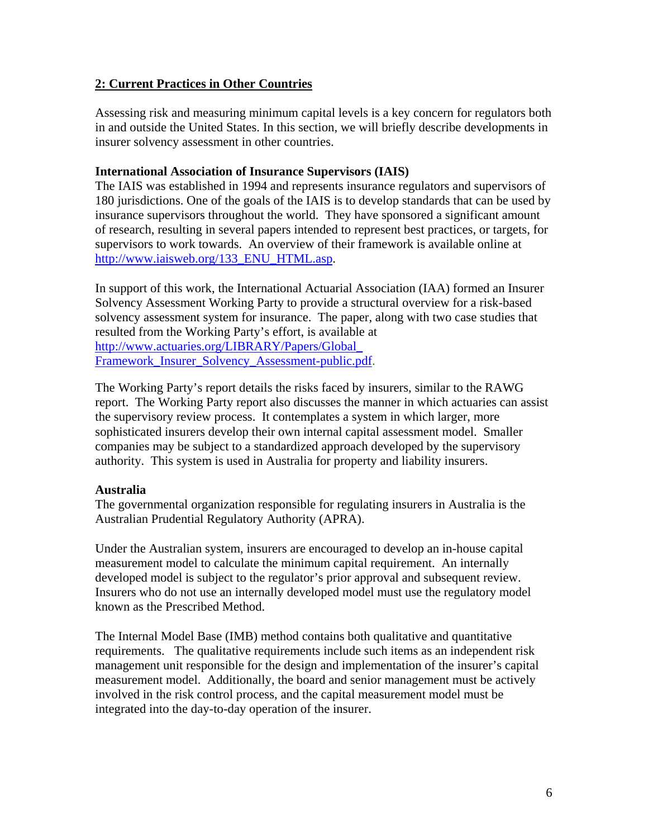## **2: Current Practices in Other Countries**

Assessing risk and measuring minimum capital levels is a key concern for regulators both in and outside the United States. In this section, we will briefly describe developments in insurer solvency assessment in other countries.

### **International Association of Insurance Supervisors (IAIS)**

The IAIS was established in 1994 and represents insurance regulators and supervisors of 180 jurisdictions. One of the goals of the IAIS is to develop standards that can be used by insurance supervisors throughout the world. They have sponsored a significant amount of research, resulting in several papers intended to represent best practices, or targets, for supervisors to work towards. An overview of their framework is available online at [http://www.iaisweb.org/133\\_ENU\\_HTML.asp.](http://www.iaisweb.org/133_ENU_HTML.asp)

In support of this work, the International Actuarial Association (IAA) formed an Insurer Solvency Assessment Working Party to provide a structural overview for a risk-based solvency assessment system for insurance. The paper, along with two case studies that resulted from the Working Party's effort, is available at [http://www.actuaries.org/LIBRARY/Papers/Global\\_](http://www.actuaries.org/LIBRARY/Papers/Global_)  Framework\_Insurer\_Solvency\_Assessment-public.pdf.

The Working Party's report details the risks faced by insurers, similar to the RAWG report. The Working Party report also discusses the manner in which actuaries can assist the supervisory review process. It contemplates a system in which larger, more sophisticated insurers develop their own internal capital assessment model. Smaller companies may be subject to a standardized approach developed by the supervisory authority. This system is used in Australia for property and liability insurers.

## **Australia**

The governmental organization responsible for regulating insurers in Australia is the Australian Prudential Regulatory Authority (APRA).

Under the Australian system, insurers are encouraged to develop an in-house capital measurement model to calculate the minimum capital requirement. An internally developed model is subject to the regulator's prior approval and subsequent review. Insurers who do not use an internally developed model must use the regulatory model known as the Prescribed Method.

The Internal Model Base (IMB) method contains both qualitative and quantitative requirements. The qualitative requirements include such items as an independent risk management unit responsible for the design and implementation of the insurer's capital measurement model. Additionally, the board and senior management must be actively involved in the risk control process, and the capital measurement model must be integrated into the day-to-day operation of the insurer.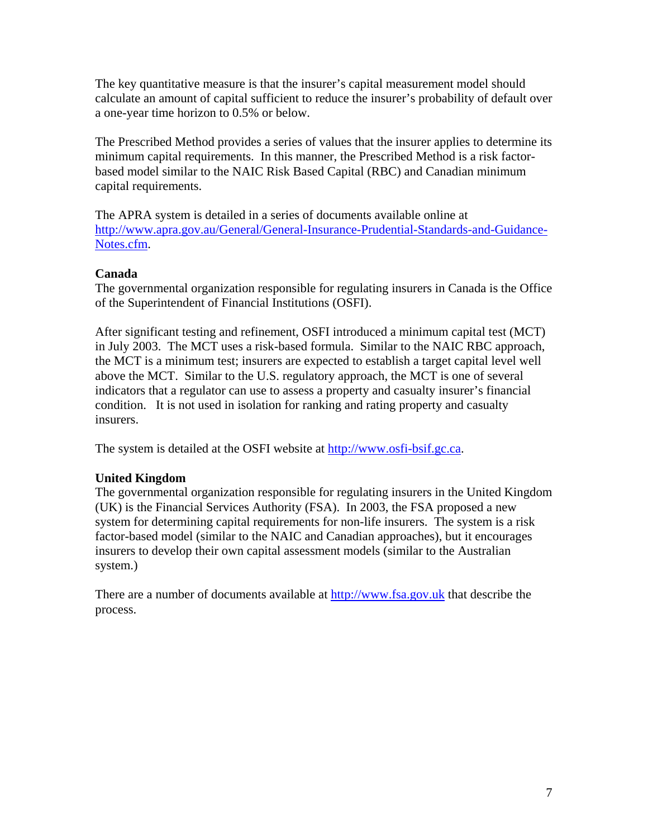The key quantitative measure is that the insurer's capital measurement model should calculate an amount of capital sufficient to reduce the insurer's probability of default over a one-year time horizon to 0.5% or below.

The Prescribed Method provides a series of values that the insurer applies to determine its minimum capital requirements. In this manner, the Prescribed Method is a risk factorbased model similar to the NAIC Risk Based Capital (RBC) and Canadian minimum capital requirements.

The APRA system is detailed in a series of documents available online at [http://www.apra.gov.au/General/General-Insurance-Prudential-Standards-and-Guidance-](http://www.apra.gov.au/General/General-Insurance-Prudential-Standards-and-Guidance-Notes.cfm)[Notes.cfm.](http://www.apra.gov.au/General/General-Insurance-Prudential-Standards-and-Guidance-Notes.cfm) 

## **Canada**

The governmental organization responsible for regulating insurers in Canada is the Office of the Superintendent of Financial Institutions (OSFI).

After significant testing and refinement, OSFI introduced a minimum capital test (MCT) in July 2003. The MCT uses a risk-based formula. Similar to the NAIC RBC approach, the MCT is a minimum test; insurers are expected to establish a target capital level well above the MCT. Similar to the U.S. regulatory approach, the MCT is one of several indicators that a regulator can use to assess a property and casualty insurer's financial condition. It is not used in isolation for ranking and rating property and casualty insurers.

The system is detailed at the OSFI website at [http://www.osfi-bsif.gc.ca.](http://www.osfi-bsif.gc.ca) 

## **United Kingdom**

The governmental organization responsible for regulating insurers in the United Kingdom (UK) is the Financial Services Authority (FSA). In 2003, the FSA proposed a new system for determining capital requirements for non-life insurers. The system is a risk factor-based model (similar to the NAIC and Canadian approaches), but it encourages insurers to develop their own capital assessment models (similar to the Australian system.)

There are a number of documents available at [http://www.fsa.gov.uk th](http://www.fsa.gov.uk)at describe the process.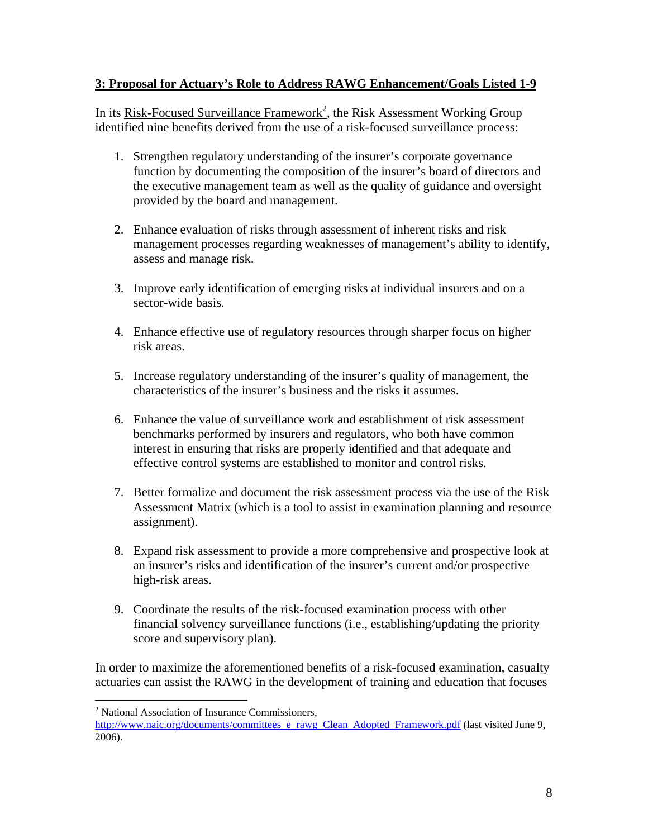## **3: Proposal for Actuary's Role to Address RAWG Enhancement/Goals Listed 1-9**

In its Risk-Focused Surveillance Framework<sup>2</sup>, the Risk Assessment Working Group identified nine benefits derived from the use of a risk-focused surveillance process:

- 1. Strengthen regulatory understanding of the insurer's corporate governance function by documenting the composition of the insurer's board of directors and the executive management team as well as the quality of guidance and oversight provided by the board and management.
- 2. Enhance evaluation of risks through assessment of inherent risks and risk management processes regarding weaknesses of management's ability to identify, assess and manage risk.
- 3. Improve early identification of emerging risks at individual insurers and on a sector-wide basis.
- 4. Enhance effective use of regulatory resources through sharper focus on higher risk areas.
- 5. Increase regulatory understanding of the insurer's quality of management, the characteristics of the insurer's business and the risks it assumes.
- 6. Enhance the value of surveillance work and establishment of risk assessment benchmarks performed by insurers and regulators, who both have common interest in ensuring that risks are properly identified and that adequate and effective control systems are established to monitor and control risks.
- 7. Better formalize and document the risk assessment process via the use of the Risk Assessment Matrix (which is a tool to assist in examination planning and resource assignment).
- 8. Expand risk assessment to provide a more comprehensive and prospective look at an insurer's risks and identification of the insurer's current and/or prospective high-risk areas.
- 9. Coordinate the results of the risk-focused examination process with other financial solvency surveillance functions (i.e., establishing/updating the priority score and supervisory plan).

In order to maximize the aforementioned benefits of a risk-focused examination, casualty actuaries can assist the RAWG in the development of training and education that focuses

1

<sup>&</sup>lt;sup>2</sup> National Association of Insurance Commissioners,

[http://www.naic.org/documents/committees\\_e\\_rawg\\_Clean\\_Adopted\\_Framework.pdf \(la](http://www.naic.org/documents/committees_e_rawg_Clean_Adopted_Framework.pdf)st visited June 9, 2006).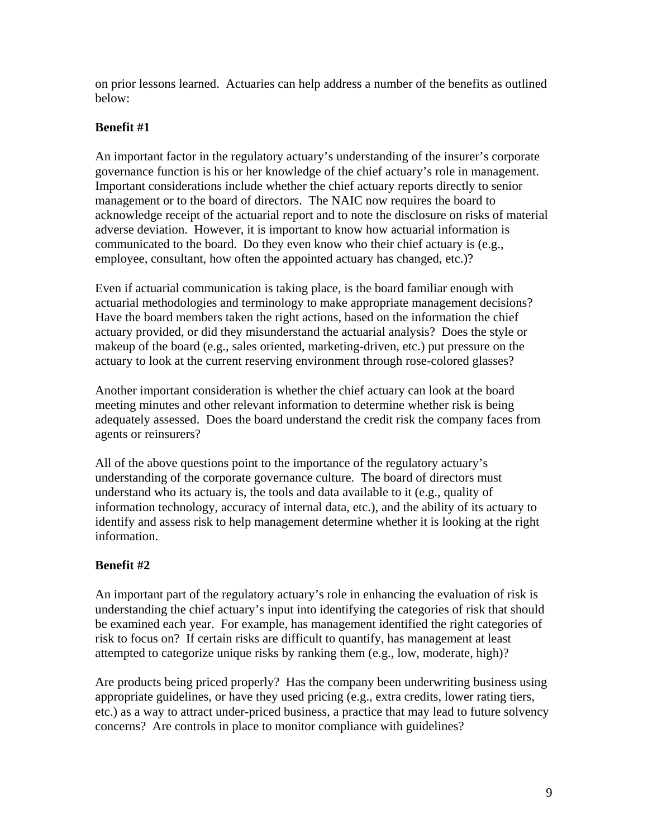on prior lessons learned. Actuaries can help address a number of the benefits as outlined below:

## **Benefit #1**

An important factor in the regulatory actuary's understanding of the insurer's corporate governance function is his or her knowledge of the chief actuary's role in management. Important considerations include whether the chief actuary reports directly to senior management or to the board of directors. The NAIC now requires the board to acknowledge receipt of the actuarial report and to note the disclosure on risks of material adverse deviation. However, it is important to know how actuarial information is communicated to the board. Do they even know who their chief actuary is (e.g., employee, consultant, how often the appointed actuary has changed, etc.)?

Even if actuarial communication is taking place, is the board familiar enough with actuarial methodologies and terminology to make appropriate management decisions? Have the board members taken the right actions, based on the information the chief actuary provided, or did they misunderstand the actuarial analysis? Does the style or makeup of the board (e.g., sales oriented, marketing-driven, etc.) put pressure on the actuary to look at the current reserving environment through rose-colored glasses?

Another important consideration is whether the chief actuary can look at the board meeting minutes and other relevant information to determine whether risk is being adequately assessed. Does the board understand the credit risk the company faces from agents or reinsurers?

All of the above questions point to the importance of the regulatory actuary's understanding of the corporate governance culture. The board of directors must understand who its actuary is, the tools and data available to it (e.g., quality of information technology, accuracy of internal data, etc.), and the ability of its actuary to identify and assess risk to help management determine whether it is looking at the right information.

# **Benefit #2**

An important part of the regulatory actuary's role in enhancing the evaluation of risk is understanding the chief actuary's input into identifying the categories of risk that should be examined each year. For example, has management identified the right categories of risk to focus on? If certain risks are difficult to quantify, has management at least attempted to categorize unique risks by ranking them (e.g., low, moderate, high)?

Are products being priced properly? Has the company been underwriting business using appropriate guidelines, or have they used pricing (e.g., extra credits, lower rating tiers, etc.) as a way to attract under-priced business, a practice that may lead to future solvency concerns? Are controls in place to monitor compliance with guidelines?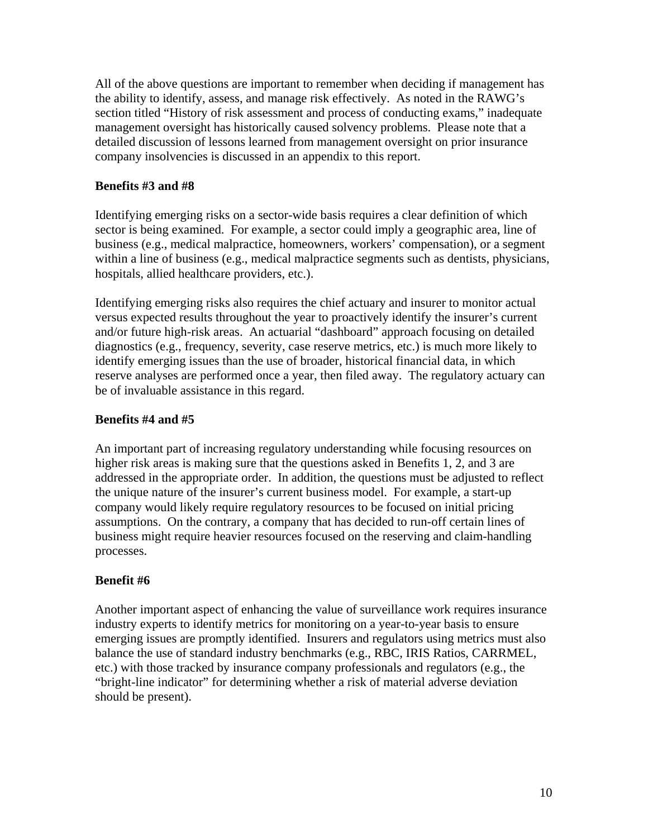All of the above questions are important to remember when deciding if management has the ability to identify, assess, and manage risk effectively. As noted in the RAWG's section titled "History of risk assessment and process of conducting exams," inadequate management oversight has historically caused solvency problems. Please note that a detailed discussion of lessons learned from management oversight on prior insurance company insolvencies is discussed in an appendix to this report.

## **Benefits #3 and #8**

Identifying emerging risks on a sector-wide basis requires a clear definition of which sector is being examined. For example, a sector could imply a geographic area, line of business (e.g., medical malpractice, homeowners, workers' compensation), or a segment within a line of business (e.g., medical malpractice segments such as dentists, physicians, hospitals, allied healthcare providers, etc.).

Identifying emerging risks also requires the chief actuary and insurer to monitor actual versus expected results throughout the year to proactively identify the insurer's current and/or future high-risk areas. An actuarial "dashboard" approach focusing on detailed diagnostics (e.g., frequency, severity, case reserve metrics, etc.) is much more likely to identify emerging issues than the use of broader, historical financial data, in which reserve analyses are performed once a year, then filed away. The regulatory actuary can be of invaluable assistance in this regard.

## **Benefits #4 and #5**

An important part of increasing regulatory understanding while focusing resources on higher risk areas is making sure that the questions asked in Benefits 1, 2, and 3 are addressed in the appropriate order. In addition, the questions must be adjusted to reflect the unique nature of the insurer's current business model. For example, a start-up company would likely require regulatory resources to be focused on initial pricing assumptions. On the contrary, a company that has decided to run-off certain lines of business might require heavier resources focused on the reserving and claim-handling processes.

## **Benefit #6**

Another important aspect of enhancing the value of surveillance work requires insurance industry experts to identify metrics for monitoring on a year-to-year basis to ensure emerging issues are promptly identified. Insurers and regulators using metrics must also balance the use of standard industry benchmarks (e.g., RBC, IRIS Ratios, CARRMEL, etc.) with those tracked by insurance company professionals and regulators (e.g., the "bright-line indicator" for determining whether a risk of material adverse deviation should be present).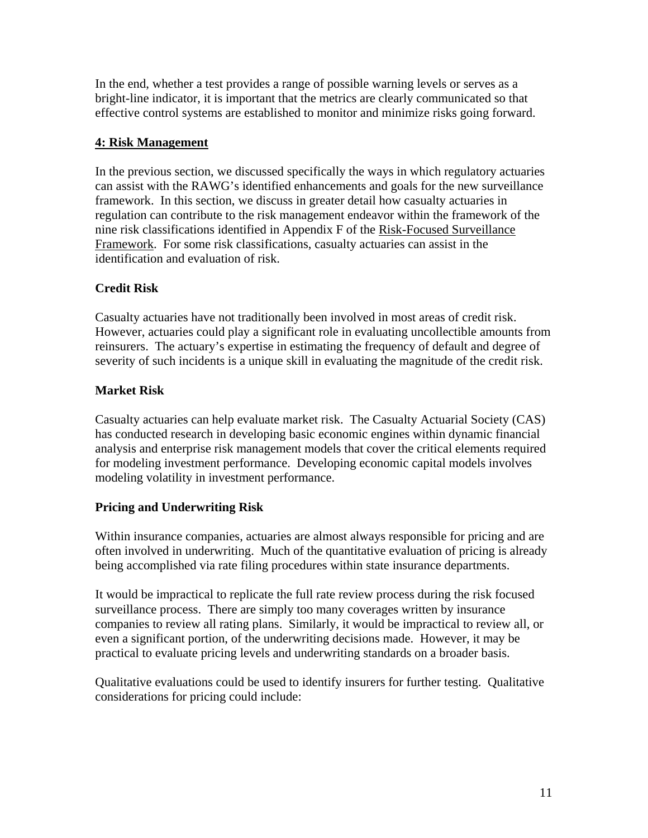In the end, whether a test provides a range of possible warning levels or serves as a bright-line indicator, it is important that the metrics are clearly communicated so that effective control systems are established to monitor and minimize risks going forward.

## **4: Risk Management**

In the previous section, we discussed specifically the ways in which regulatory actuaries can assist with the RAWG's identified enhancements and goals for the new surveillance framework. In this section, we discuss in greater detail how casualty actuaries in regulation can contribute to the risk management endeavor within the framework of the nine risk classifications identified in Appendix F of the Risk-Focused Surveillance Framework. For some risk classifications, casualty actuaries can assist in the identification and evaluation of risk.

# **Credit Risk**

Casualty actuaries have not traditionally been involved in most areas of credit risk. However, actuaries could play a significant role in evaluating uncollectible amounts from reinsurers. The actuary's expertise in estimating the frequency of default and degree of severity of such incidents is a unique skill in evaluating the magnitude of the credit risk.

# **Market Risk**

Casualty actuaries can help evaluate market risk. The Casualty Actuarial Society (CAS) has conducted research in developing basic economic engines within dynamic financial analysis and enterprise risk management models that cover the critical elements required for modeling investment performance. Developing economic capital models involves modeling volatility in investment performance.

# **Pricing and Underwriting Risk**

Within insurance companies, actuaries are almost always responsible for pricing and are often involved in underwriting. Much of the quantitative evaluation of pricing is already being accomplished via rate filing procedures within state insurance departments.

It would be impractical to replicate the full rate review process during the risk focused surveillance process. There are simply too many coverages written by insurance companies to review all rating plans. Similarly, it would be impractical to review all, or even a significant portion, of the underwriting decisions made. However, it may be practical to evaluate pricing levels and underwriting standards on a broader basis.

Qualitative evaluations could be used to identify insurers for further testing. Qualitative considerations for pricing could include: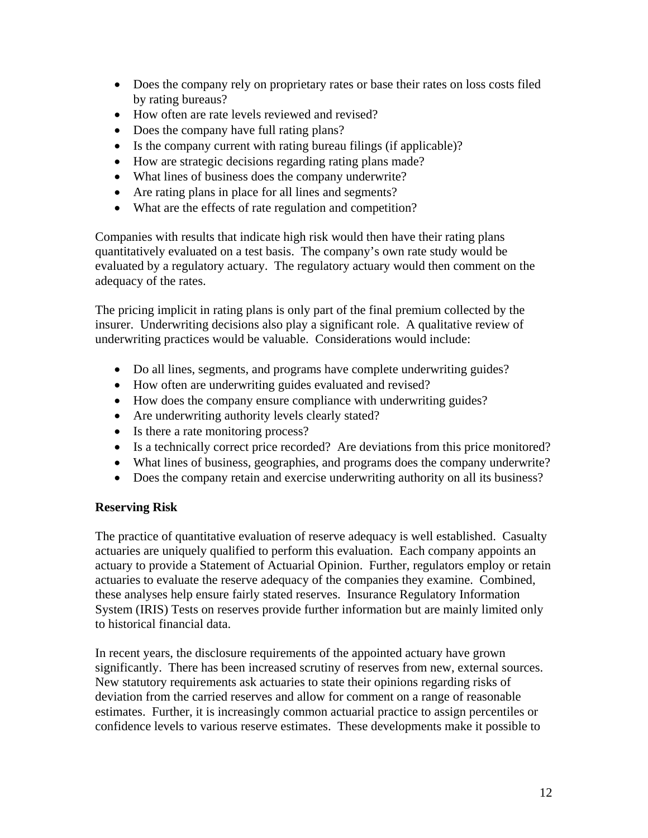- Does the company rely on proprietary rates or base their rates on loss costs filed by rating bureaus?
- How often are rate levels reviewed and revised?
- Does the company have full rating plans?
- Is the company current with rating bureau filings (if applicable)?
- How are strategic decisions regarding rating plans made?
- What lines of business does the company underwrite?
- Are rating plans in place for all lines and segments?
- What are the effects of rate regulation and competition?

Companies with results that indicate high risk would then have their rating plans quantitatively evaluated on a test basis. The company's own rate study would be evaluated by a regulatory actuary. The regulatory actuary would then comment on the adequacy of the rates.

The pricing implicit in rating plans is only part of the final premium collected by the insurer. Underwriting decisions also play a significant role. A qualitative review of underwriting practices would be valuable. Considerations would include:

- Do all lines, segments, and programs have complete underwriting guides?
- How often are underwriting guides evaluated and revised?
- How does the company ensure compliance with underwriting guides?
- Are underwriting authority levels clearly stated?
- Is there a rate monitoring process?
- Is a technically correct price recorded? Are deviations from this price monitored?
- What lines of business, geographies, and programs does the company underwrite?
- Does the company retain and exercise underwriting authority on all its business?

## **Reserving Risk**

The practice of quantitative evaluation of reserve adequacy is well established. Casualty actuaries are uniquely qualified to perform this evaluation. Each company appoints an actuary to provide a Statement of Actuarial Opinion. Further, regulators employ or retain actuaries to evaluate the reserve adequacy of the companies they examine. Combined, these analyses help ensure fairly stated reserves. Insurance Regulatory Information System (IRIS) Tests on reserves provide further information but are mainly limited only to historical financial data.

In recent years, the disclosure requirements of the appointed actuary have grown significantly. There has been increased scrutiny of reserves from new, external sources. New statutory requirements ask actuaries to state their opinions regarding risks of deviation from the carried reserves and allow for comment on a range of reasonable estimates. Further, it is increasingly common actuarial practice to assign percentiles or confidence levels to various reserve estimates. These developments make it possible to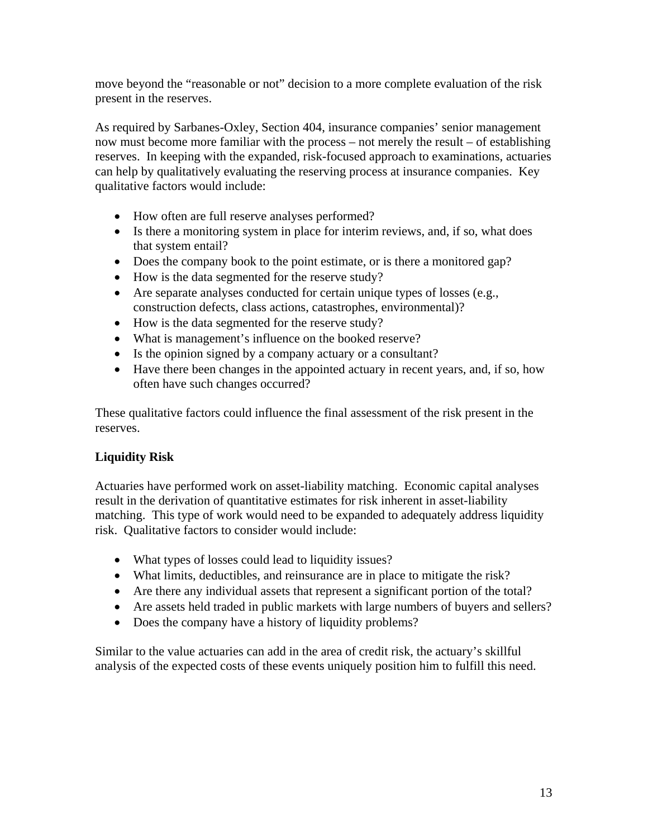move beyond the "reasonable or not" decision to a more complete evaluation of the risk present in the reserves.

As required by Sarbanes-Oxley, Section 404, insurance companies' senior management now must become more familiar with the process – not merely the result – of establishing reserves. In keeping with the expanded, risk-focused approach to examinations, actuaries can help by qualitatively evaluating the reserving process at insurance companies. Key qualitative factors would include:

- How often are full reserve analyses performed?
- Is there a monitoring system in place for interim reviews, and, if so, what does that system entail?
- Does the company book to the point estimate, or is there a monitored gap?
- How is the data segmented for the reserve study?
- Are separate analyses conducted for certain unique types of losses (e.g., construction defects, class actions, catastrophes, environmental)?
- How is the data segmented for the reserve study?
- What is management's influence on the booked reserve?
- Is the opinion signed by a company actuary or a consultant?
- Have there been changes in the appointed actuary in recent years, and, if so, how often have such changes occurred?

These qualitative factors could influence the final assessment of the risk present in the reserves.

# **Liquidity Risk**

Actuaries have performed work on asset-liability matching. Economic capital analyses result in the derivation of quantitative estimates for risk inherent in asset-liability matching. This type of work would need to be expanded to adequately address liquidity risk. Qualitative factors to consider would include:

- What types of losses could lead to liquidity issues?
- What limits, deductibles, and reinsurance are in place to mitigate the risk?
- Are there any individual assets that represent a significant portion of the total?
- Are assets held traded in public markets with large numbers of buyers and sellers?
- Does the company have a history of liquidity problems?

Similar to the value actuaries can add in the area of credit risk, the actuary's skillful analysis of the expected costs of these events uniquely position him to fulfill this need.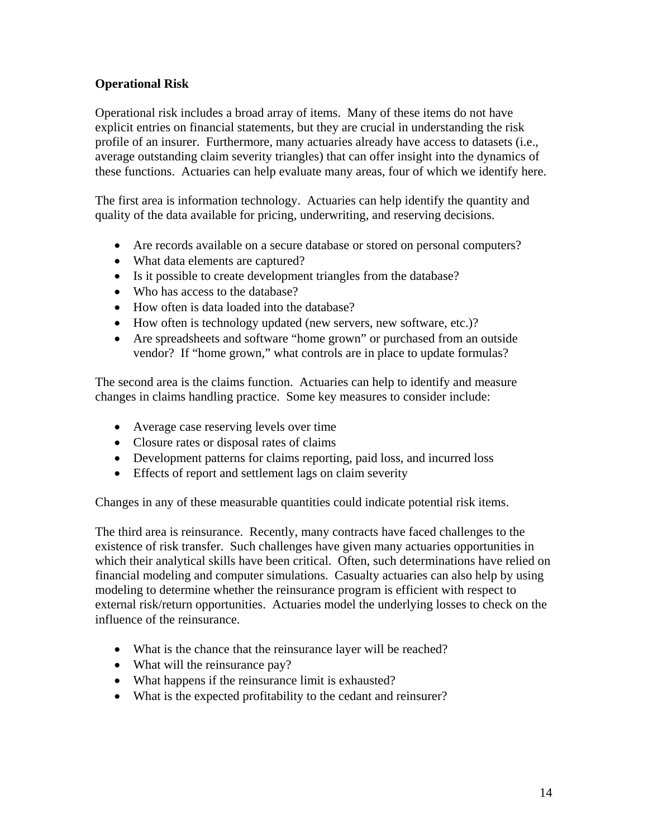## **Operational Risk**

Operational risk includes a broad array of items. Many of these items do not have explicit entries on financial statements, but they are crucial in understanding the risk profile of an insurer. Furthermore, many actuaries already have access to datasets (i.e., average outstanding claim severity triangles) that can offer insight into the dynamics of these functions. Actuaries can help evaluate many areas, four of which we identify here.

The first area is information technology. Actuaries can help identify the quantity and quality of the data available for pricing, underwriting, and reserving decisions.

- Are records available on a secure database or stored on personal computers?
- What data elements are captured?
- Is it possible to create development triangles from the database?
- Who has access to the database?
- How often is data loaded into the database?
- How often is technology updated (new servers, new software, etc.)?
- Are spreadsheets and software "home grown" or purchased from an outside vendor? If "home grown," what controls are in place to update formulas?

The second area is the claims function. Actuaries can help to identify and measure changes in claims handling practice. Some key measures to consider include:

- Average case reserving levels over time
- Closure rates or disposal rates of claims
- Development patterns for claims reporting, paid loss, and incurred loss
- Effects of report and settlement lags on claim severity

Changes in any of these measurable quantities could indicate potential risk items.

The third area is reinsurance. Recently, many contracts have faced challenges to the existence of risk transfer. Such challenges have given many actuaries opportunities in which their analytical skills have been critical. Often, such determinations have relied on financial modeling and computer simulations. Casualty actuaries can also help by using modeling to determine whether the reinsurance program is efficient with respect to external risk/return opportunities. Actuaries model the underlying losses to check on the influence of the reinsurance.

- What is the chance that the reinsurance layer will be reached?
- What will the reinsurance pay?
- What happens if the reinsurance limit is exhausted?
- What is the expected profitability to the cedant and reinsurer?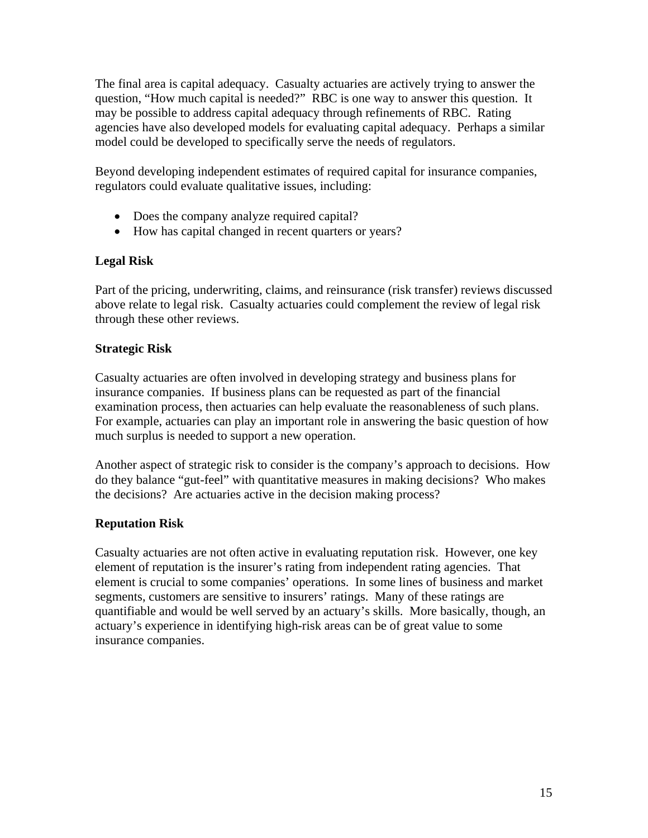The final area is capital adequacy. Casualty actuaries are actively trying to answer the question, "How much capital is needed?" RBC is one way to answer this question. It may be possible to address capital adequacy through refinements of RBC. Rating agencies have also developed models for evaluating capital adequacy. Perhaps a similar model could be developed to specifically serve the needs of regulators.

Beyond developing independent estimates of required capital for insurance companies, regulators could evaluate qualitative issues, including:

- Does the company analyze required capital?
- How has capital changed in recent quarters or years?

## **Legal Risk**

Part of the pricing, underwriting, claims, and reinsurance (risk transfer) reviews discussed above relate to legal risk. Casualty actuaries could complement the review of legal risk through these other reviews.

## **Strategic Risk**

Casualty actuaries are often involved in developing strategy and business plans for insurance companies. If business plans can be requested as part of the financial examination process, then actuaries can help evaluate the reasonableness of such plans. For example, actuaries can play an important role in answering the basic question of how much surplus is needed to support a new operation.

Another aspect of strategic risk to consider is the company's approach to decisions. How do they balance "gut-feel" with quantitative measures in making decisions? Who makes the decisions? Are actuaries active in the decision making process?

# **Reputation Risk**

Casualty actuaries are not often active in evaluating reputation risk. However, one key element of reputation is the insurer's rating from independent rating agencies. That element is crucial to some companies' operations. In some lines of business and market segments, customers are sensitive to insurers' ratings. Many of these ratings are quantifiable and would be well served by an actuary's skills. More basically, though, an actuary's experience in identifying high-risk areas can be of great value to some insurance companies.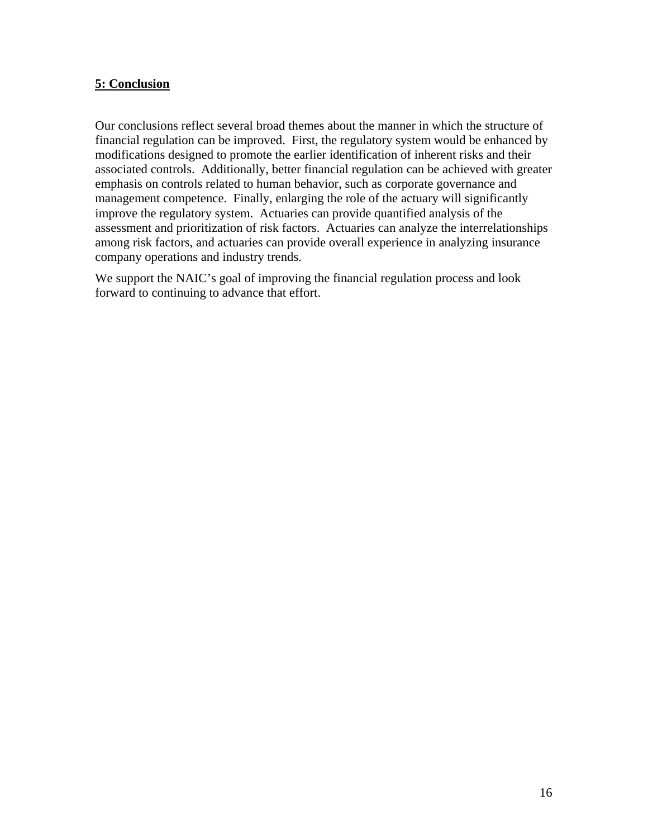### **5: Conclusion**

Our conclusions reflect several broad themes about the manner in which the structure of financial regulation can be improved. First, the regulatory system would be enhanced by modifications designed to promote the earlier identification of inherent risks and their associated controls.Additionally, better financial regulation can be achieved with greater emphasis on controls related to human behavior, such as corporate governance and management competence. Finally, enlarging the role of the actuary will significantly improve the regulatory system. Actuaries can provide quantified analysis of the assessment and prioritization of risk factors. Actuaries can analyze the interrelationships among risk factors, and actuaries can provide overall experience in analyzing insurance company operations and industry trends.

We support the NAIC's goal of improving the financial regulation process and look forward to continuing to advance that effort.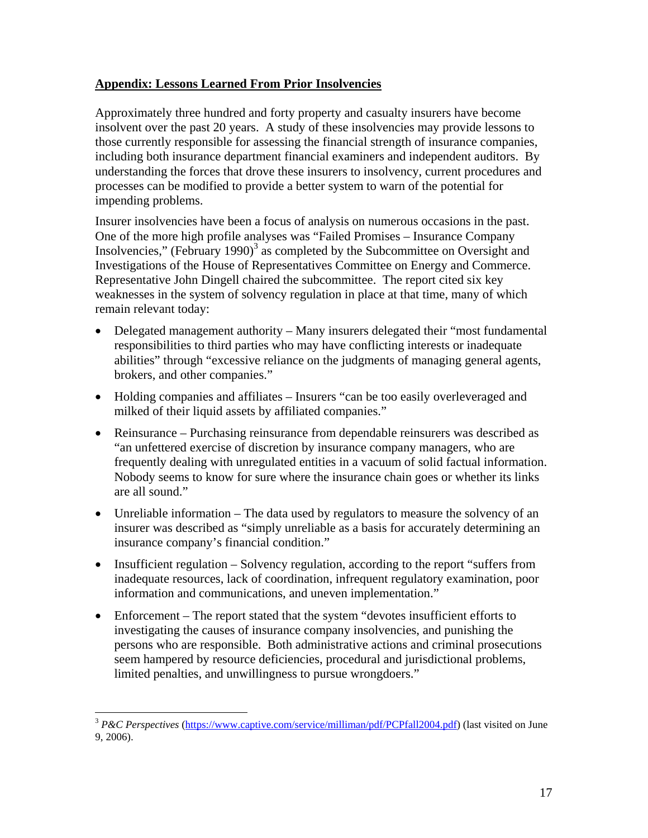## **Appendix: Lessons Learned From Prior Insolvencies**

Approximately three hundred and forty property and casualty insurers have become insolvent over the past 20 years. A study of these insolvencies may provide lessons to those currently responsible for assessing the financial strength of insurance companies, including both insurance department financial examiners and independent auditors. By understanding the forces that drove these insurers to insolvency, current procedures and processes can be modified to provide a better system to warn of the potential for impending problems.

Insurer insolvencies have been a focus of analysis on numerous occasions in the past. One of the more high profile analyses was "Failed Promises – Insurance Company Insolvencies," (February 1990) $3$  as completed by the Subcommittee on Oversight and Investigations of the House of Representatives Committee on Energy and Commerce. Representative John Dingell chaired the subcommittee. The report cited six key weaknesses in the system of solvency regulation in place at that time, many of which remain relevant today:

- Delegated management authority Many insurers delegated their "most fundamental" responsibilities to third parties who may have conflicting interests or inadequate abilities" through "excessive reliance on the judgments of managing general agents, brokers, and other companies."
- Holding companies and affiliates Insurers "can be too easily overleveraged and milked of their liquid assets by affiliated companies."
- Reinsurance Purchasing reinsurance from dependable reinsurers was described as "an unfettered exercise of discretion by insurance company managers, who are frequently dealing with unregulated entities in a vacuum of solid factual information. Nobody seems to know for sure where the insurance chain goes or whether its links are all sound."
- Unreliable information The data used by regulators to measure the solvency of an insurer was described as "simply unreliable as a basis for accurately determining an insurance company's financial condition."
- Insufficient regulation Solvency regulation, according to the report "suffers from inadequate resources, lack of coordination, infrequent regulatory examination, poor information and communications, and uneven implementation."
- Enforcement The report stated that the system "devotes insufficient efforts to investigating the causes of insurance company insolvencies, and punishing the persons who are responsible. Both administrative actions and criminal prosecutions seem hampered by resource deficiencies, procedural and jurisdictional problems, limited penalties, and unwillingness to pursue wrongdoers."

1

<sup>3</sup> *P&C Perspectives* [\(https://www.captive.com/service/milliman/pdf/PCPfall2004.pdf\)](https://www.captive.com/service/milliman/pdf/PCPfall2004.pdf) (last visited on June 9, 2006).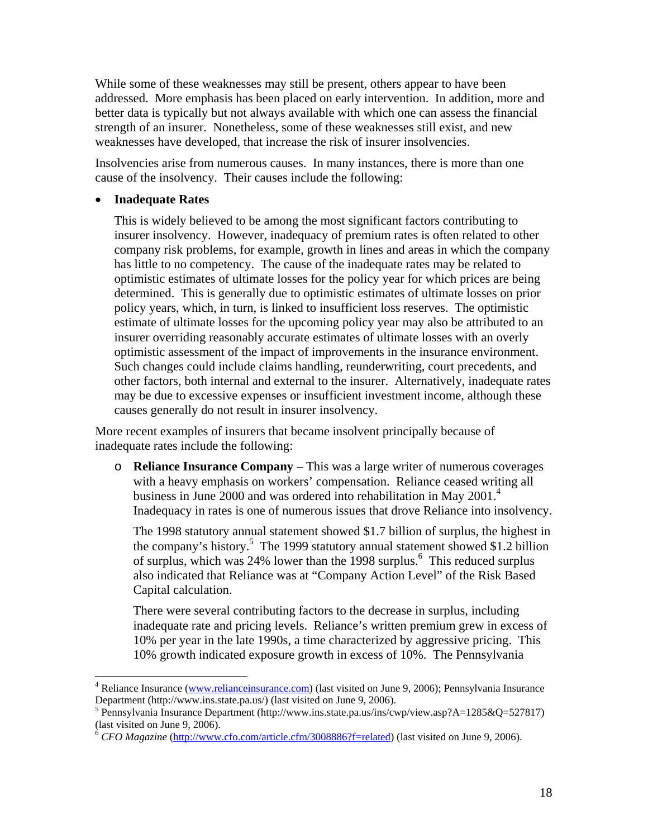While some of these weaknesses may still be present, others appear to have been addressed. More emphasis has been placed on early intervention. In addition, more and better data is typically but not always available with which one can assess the financial strength of an insurer. Nonetheless, some of these weaknesses still exist, and new weaknesses have developed, that increase the risk of insurer insolvencies.

Insolvencies arise from numerous causes. In many instances, there is more than one cause of the insolvency. Their causes include the following:

#### • **Inadequate Rates**

 $\overline{a}$ 

This is widely believed to be among the most significant factors contributing to insurer insolvency. However, inadequacy of premium rates is often related to other company risk problems, for example, growth in lines and areas in which the company has little to no competency. The cause of the inadequate rates may be related to optimistic estimates of ultimate losses for the policy year for which prices are being determined. This is generally due to optimistic estimates of ultimate losses on prior policy years, which, in turn, is linked to insufficient loss reserves. The optimistic estimate of ultimate losses for the upcoming policy year may also be attributed to an insurer overriding reasonably accurate estimates of ultimate losses with an overly optimistic assessment of the impact of improvements in the insurance environment. Such changes could include claims handling, reunderwriting, court precedents, and other factors, both internal and external to the insurer. Alternatively, inadequate rates may be due to excessive expenses or insufficient investment income, although these causes generally do not result in insurer insolvency.

More recent examples of insurers that became insolvent principally because of inadequate rates include the following:

o **Reliance Insurance Company** – This was a large writer of numerous coverages with a heavy emphasis on workers' compensation. Reliance ceased writing all business in June 2000 and was ordered into rehabilitation in May 2001.<sup>4</sup> Inadequacy in rates is one of numerous issues that drove Reliance into insolvency.

The 1998 statutory annual statement showed \$1.7 billion of surplus, the highest in the company's history.<sup>5</sup> The 1999 statutory annual statement showed \$1.2 billion of surplus, which was  $24\%$  lower than the 1998 surplus.<sup>6</sup> This reduced surplus also indicated that Reliance was at "Company Action Level" of the Risk Based Capital calculation.

There were several contributing factors to the decrease in surplus, including inadequate rate and pricing levels. Reliance's written premium grew in excess of 10% per year in the late 1990s, a time characterized by aggressive pricing. This 10% growth indicated exposure growth in excess of 10%. The Pennsylvania

<sup>&</sup>lt;sup>4</sup> Reliance Insurance [\(www.relianceinsurance.com\)](http://www.relianceinsurance.com) (last visited on June 9, 2006); Pennsylvania Insurance Department [\(http://www.ins.state.pa.us/\) \(la](http://www.ins.state.pa.us)st visited on June 9, 2006).

<sup>&</sup>lt;sup>5</sup> Pennsylvania Insurance Department (http://www.ins.state.pa.us/ins/cwp/view.asp?A=1285&Q=527817) (last visited on June 9, 2006).

<sup>6</sup> *CFO Magazine* ([http://www.cfo.com/article.cfm/3008886?f=related\)](http://www.cfo.com/article.cfm/3008886?f=related) (last visited on June 9, 2006).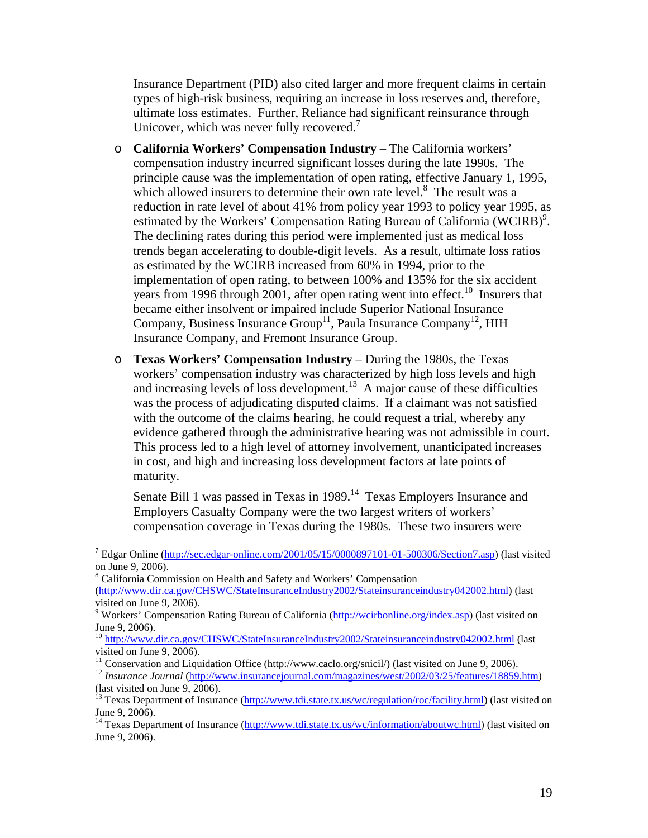Insurance Department (PID) also cited larger and more frequent claims in certain types of high-risk business, requiring an increase in loss reserves and, therefore, ultimate loss estimates. Further, Reliance had significant reinsurance through Unicover, which was never fully recovered. $<sup>7</sup>$ </sup>

- o **California Workers' Compensation Industry** The California workers' compensation industry incurred significant losses during the late 1990s. The principle cause was the implementation of open rating, effective January 1, 1995, which allowed insurers to determine their own rate level. $\frac{8}{3}$  The result was a reduction in rate level of about 41% from policy year 1993 to policy year 1995, as estimated by the Workers' Compensation Rating Bureau of California (WCIRB)<sup>9</sup>. The declining rates during this period were implemented just as medical loss trends began accelerating to double-digit levels. As a result, ultimate loss ratios as estimated by the WCIRB increased from 60% in 1994, prior to the implementation of open rating, to between 100% and 135% for the six accident years from 1996 through 2001, after open rating went into effect.<sup>10</sup> Insurers that became either insolvent or impaired include Superior National Insurance Company, Business Insurance  $Group<sup>11</sup>$ , Paula Insurance Company<sup>12</sup>, HIH Insurance Company, and Fremont Insurance Group.
- o **Texas Workers' Compensation Industry** During the 1980s, the Texas workers' compensation industry was characterized by high loss levels and high and increasing levels of loss development.<sup>13</sup> A major cause of these difficulties was the process of adjudicating disputed claims. If a claimant was not satisfied with the outcome of the claims hearing, he could request a trial, whereby any evidence gathered through the administrative hearing was not admissible in court. This process led to a high level of attorney involvement, unanticipated increases in cost, and high and increasing loss development factors at late points of maturity.

Senate Bill 1 was passed in Texas in  $1989$ .<sup>14</sup> Texas Employers Insurance and Employers Casualty Company were the two largest writers of workers' compensation coverage in Texas during the 1980s. These two insurers were

<sup>8</sup> California Commission on Health and Safety and Workers' Compensation

 $\overline{a}$ 

<sup>12</sup> Insurance Journal ([http://www.insurancejournal.com/magazines/west/2002/03/25/features/18859.htm\)](http://www.insurancejournal.com/magazines/west/2002/03/25/features/18859.htm) (last visited on June 9, 2006).

<sup>&</sup>lt;sup>7</sup> Edgar Online [\(http://sec.edgar-online.com/2001/05/15/0000897101-01-500306/Section7.asp\)](http://sec.edgar-online.com/2001/05/15/0000897101-01-500306/Section7.asp) (last visited on June 9, 2006).

[<sup>\(</sup>http://www.dir.ca.gov/CHSWC/StateInsuranceIndustry2002/Stateinsuranceindustry042002.html\)](http://www.dir.ca.gov/CHSWC/StateInsuranceIndustry2002/Stateinsuranceindustry042002.html) (last visited on June 9, 2006).

<sup>&</sup>lt;sup>9</sup> Workers' Compensation Rating Bureau of California ([http://wcirbonline.org/index.asp\)](http://wcirbonline.org/index.asp) (last visited on June 9, 2006).

<sup>&</sup>lt;sup>10</sup> [http://www.dir.ca.gov/CHSWC/StateInsuranceIndustry2002/Stateinsuranceindustry042002.html \(la](http://www.dir.ca.gov/CHSWC/StateInsuranceIndustry2002/Stateinsuranceindustry042002.html)st visited on June 9, 2006).<br><sup>11</sup> Conservation and Liquidation Office (http://www.caclo.org/snicil/) (last visited on June 9, 2006).

<sup>&</sup>lt;sup>13</sup> Texas Department of Insurance ([http://www.tdi.state.tx.us/wc/regulation/roc/facility.html\)](http://www.tdi.state.tx.us/wc/regulation/roc/facility.html) (last visited on June 9, 2006).

<sup>&</sup>lt;sup>14</sup> Texas Department of Insurance [\(http://www.tdi.state.tx.us/wc/information/aboutwc.html\)](http://www.tdi.state.tx.us/wc/information/aboutwc.html) (last visited on June 9, 2006).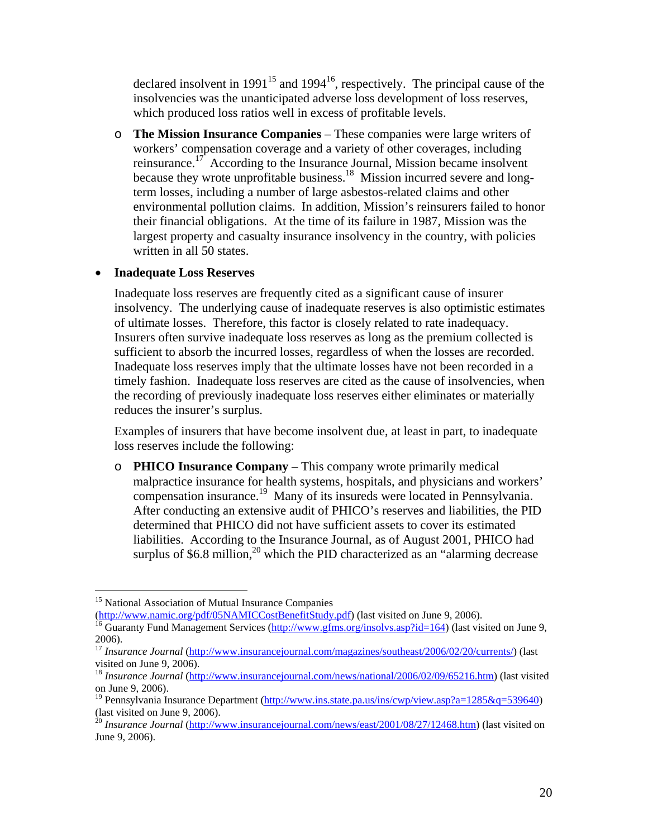declared insolvent in  $1991^{15}$  and  $1994^{16}$ , respectively. The principal cause of the insolvencies was the unanticipated adverse loss development of loss reserves, which produced loss ratios well in excess of profitable levels.

o **The Mission Insurance Companies** – These companies were large writers of workers' compensation coverage and a variety of other coverages, including reinsurance.17 According to the Insurance Journal, Mission became insolvent because they wrote unprofitable business.<sup>18</sup> Mission incurred severe and longterm losses, including a number of large asbestos-related claims and other environmental pollution claims. In addition, Mission's reinsurers failed to honor their financial obligations. At the time of its failure in 1987, Mission was the largest property and casualty insurance insolvency in the country, with policies written in all 50 states.

### • **Inadequate Loss Reserves**

Inadequate loss reserves are frequently cited as a significant cause of insurer insolvency. The underlying cause of inadequate reserves is also optimistic estimates of ultimate losses. Therefore, this factor is closely related to rate inadequacy. Insurers often survive inadequate loss reserves as long as the premium collected is sufficient to absorb the incurred losses, regardless of when the losses are recorded. Inadequate loss reserves imply that the ultimate losses have not been recorded in a timely fashion. Inadequate loss reserves are cited as the cause of insolvencies, when the recording of previously inadequate loss reserves either eliminates or materially reduces the insurer's surplus.

Examples of insurers that have become insolvent due, at least in part, to inadequate loss reserves include the following:

o **PHICO Insurance Company** – This company wrote primarily medical malpractice insurance for health systems, hospitals, and physicians and workers' compensation insurance.19 Many of its insureds were located in Pennsylvania. After conducting an extensive audit of PHICO's reserves and liabilities, the PID determined that PHICO did not have sufficient assets to cover its estimated liabilities. According to the Insurance Journal, as of August 2001, PHICO had surplus of  $$6.8$  million,<sup>20</sup> which the PID characterized as an "alarming decrease"

<sup>15</sup> National Association of Mutual Insurance Companies<br>
(http://www.namic.org/pdf/05NAMICCostBenefitStudy.pdf) (last visited on June 9, 2006).

 $\overline{a}$ 

<sup>&</sup>lt;sup>[16](http://www.namic.org/pdf/05NAMICCostBenefitStudy.pdf)</sup> Guaranty Fund Management Services ( $\frac{http://www.gfms.org/insolvs.asp?id=164}$ ) [\(last visited on June 9](http://www.gfms.org/insolvs.asp?id=164), 2006).

<sup>&</sup>lt;sup>17</sup> *Insurance Journal* ([http://www.insurancejournal.com/magazines/southeast/2006/02/20/current](http://www.insurancejournal.com/magazines/southeast/2006/02/20/currents)s/) (last visited on June 9, 2006).

<sup>18</sup> *Insurance Journal* ([http://www.insurancejournal.com/news/national/2006/02/09/65216.htm\)](http://www.insurancejournal.com/news/national/2006/02/09/65216.htm) (last visited on June 9, 2006).

<sup>&</sup>lt;sup>19</sup> Pennsylvania Insurance Department (http://www.ins.state.pa.us/ins/cwp/view.asp?a=1285&q=539640) (last visited on June 9, 2006).

<sup>&</sup>lt;sup>20</sup> *Insurance Journal* ([http://www.insurancejournal.com/news/east/2001/08/27/12468.htm\)](http://www.insurancejournal.com/news/east/2001/08/27/12468.htm) (last visited on June 9, 2006).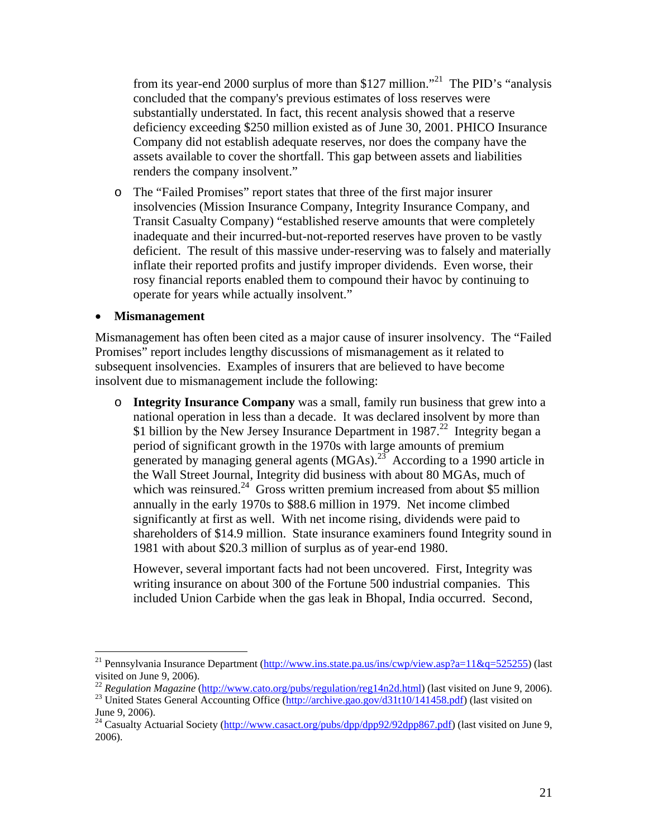from its year-end 2000 surplus of more than \$127 million."21 The PID's "analysis concluded that the company's previous estimates of loss reserves were substantially understated. In fact, this recent analysis showed that a reserve deficiency exceeding \$250 million existed as of June 30, 2001. PHICO Insurance Company did not establish adequate reserves, nor does the company have the assets available to cover the shortfall. This gap between assets and liabilities renders the company insolvent."

o The "Failed Promises" report states that three of the first major insurer insolvencies (Mission Insurance Company, Integrity Insurance Company, and Transit Casualty Company) "established reserve amounts that were completely inadequate and their incurred-but-not-reported reserves have proven to be vastly deficient. The result of this massive under-reserving was to falsely and materially inflate their reported profits and justify improper dividends. Even worse, their rosy financial reports enabled them to compound their havoc by continuing to operate for years while actually insolvent."

#### • **Mismanagement**

 $\overline{a}$ 

Mismanagement has often been cited as a major cause of insurer insolvency. The "Failed Promises" report includes lengthy discussions of mismanagement as it related to subsequent insolvencies. Examples of insurers that are believed to have become insolvent due to mismanagement include the following:

o **Integrity Insurance Company** was a small, family run business that grew into a national operation in less than a decade. It was declared insolvent by more than \$1 billion by the New Jersey Insurance Department in 1987.<sup>22</sup> Integrity began a period of significant growth in the 1970s with large amounts of premium generated by managing general agents  $(MGAs)$ <sup>23</sup> According to a 1990 article in the Wall Street Journal, Integrity did business with about 80 MGAs, much of which was reinsured.<sup>24</sup> Gross written premium increased from about \$5 million annually in the early 1970s to \$88.6 million in 1979. Net income climbed significantly at first as well. With net income rising, dividends were paid to shareholders of \$14.9 million. State insurance examiners found Integrity sound in 1981 with about \$20.3 million of surplus as of year-end 1980.

However, several important facts had not been uncovered. First, Integrity was writing insurance on about 300 of the Fortune 500 industrial companies. This included Union Carbide when the gas leak in Bhopal, India occurred. Second,

<sup>&</sup>lt;sup>21</sup> Pennsylvania Insurance Department [\(http://www.ins.state.pa.us/ins/cwp/view.asp?a=11&q=525255\)](http://www.ins.state.pa.us/ins/cwp/view.asp?a=11&q=525255) (last visited on June 9, 2006).

<sup>&</sup>lt;sup>22</sup> *Regulation Magazine* ([http://www.cato.org/pubs/regulation/reg14n2d.html\)](http://www.cato.org/pubs/regulation/reg14n2d.html) [\(last visite](http://archive.gao.gov/d31t10/141458.pdf)d on June 9, 2006).<br><sup>23</sup> United States General Accounting Office [\(http://archive.gao.gov/d31t10/141458.pdf\)](http://archive.gao.gov/d31t10/141458.pdf) (last visited on

June 9, 2006).

<sup>&</sup>lt;sup>24</sup> Casualty Actuarial Society ([http://www.casact.org/pubs/dpp/dpp92/92dpp867.pdf\)](http://www.casact.org/pubs/dpp/dpp92/92dpp867.pdf) (last visited on June 9, 2006).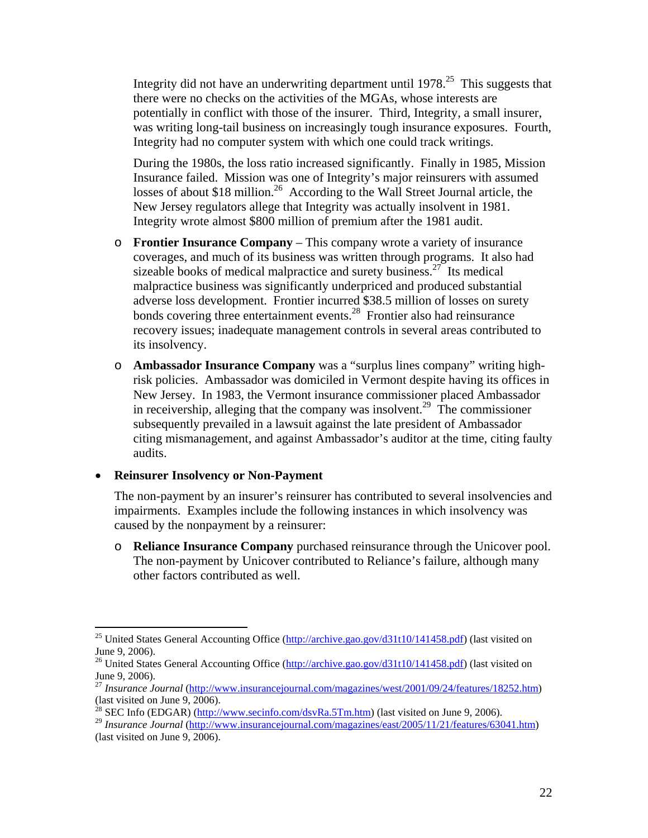Integrity did not have an underwriting department until  $1978<sup>25</sup>$  This suggests that there were no checks on the activities of the MGAs, whose interests are potentially in conflict with those of the insurer. Third, Integrity, a small insurer, was writing long-tail business on increasingly tough insurance exposures. Fourth, Integrity had no computer system with which one could track writings.

During the 1980s, the loss ratio increased significantly. Finally in 1985, Mission Insurance failed. Mission was one of Integrity's major reinsurers with assumed losses of about \$18 million.<sup>26</sup> According to the Wall Street Journal article, the New Jersey regulators allege that Integrity was actually insolvent in 1981. Integrity wrote almost \$800 million of premium after the 1981 audit.

- o **Frontier Insurance Company** This company wrote a variety of insurance coverages, and much of its business was written through programs. It also had sizeable books of medical malpractice and surety business.<sup>27</sup> Its medical malpractice business was significantly underpriced and produced substantial adverse loss development. Frontier incurred \$38.5 million of losses on surety bonds covering three entertainment events. $^{28}$  Frontier also had reinsurance recovery issues; inadequate management controls in several areas contributed to its insolvency.
- o **Ambassador Insurance Company** was a "surplus lines company" writing highrisk policies. Ambassador was domiciled in Vermont despite having its offices in New Jersey. In 1983, the Vermont insurance commissioner placed Ambassador in receivership, alleging that the company was insolvent.<sup>29</sup> The commissioner subsequently prevailed in a lawsuit against the late president of Ambassador citing mismanagement, and against Ambassador's auditor at the time, citing faulty audits.

#### • **Reinsurer Insolvency or Non-Payment**

The non-payment by an insurer's reinsurer has contributed to several insolvencies and impairments. Examples include the following instances in which insolvency was caused by the nonpayment by a reinsurer:

o **Reliance Insurance Company** purchased reinsurance through the Unicover pool. The non-payment by Unicover contributed to Reliance's failure, although many other factors contributed as well.

 $\overline{a}$ <sup>25</sup> United States General Accounting Office [\(http://archive.gao.gov/d31t10/141458.pdf\)](http://archive.gao.gov/d31t10/141458.pdf) (last visited on June 9, 2006).

<sup>&</sup>lt;sup>26</sup> United States General Accounting Office [\(http://archive.gao.gov/d31t10/141458.pdf\)](http://archive.gao.gov/d31t10/141458.pdf) (last visited on June 9, 2006).

<sup>&</sup>lt;sup>27</sup> *Insurance* Journal ([http://www.insurancejournal.com/magazines/west/2001/09/24/features/18252.htm\)](http://www.insurancejournal.com/magazines/west/2001/09/24/features/18252.htm) (last visited on June 9, 2006).

<sup>&</sup>lt;sup>28</sup> SEC Info (EDGAR) ( $\frac{http://www.secinfo.com/dsvRa.5Tm.htm}{http://www.secinfo.com/dsvRa.5Tm.htm}$ ) (last visited on June 9, 2006).

<sup>29</sup> *Insurance Journal* ([http://www.insurancejournal.com/magazines/east/2005/11/21/features/63041.htm\)](http://www.insurancejournal.com/magazines/east/2005/11/21/features/63041.htm) (last visited on June 9, 2006).